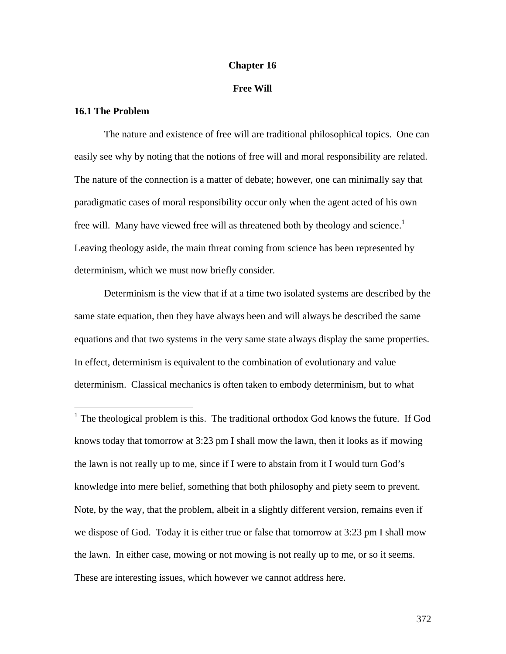### **Chapter 16**

# **Free Will**

### **16.1 The Problem**

 $\overline{a}$ 

The nature and existence of free will are traditional philosophical topics. One can easily see why by noting that the notions of free will and moral responsibility are related. The nature of the connection is a matter of debate; however, one can minimally say that paradigmatic cases of moral responsibility occur only when the agent acted of his own free will. Many have viewed free will as threatened both by theology and science.<sup>1</sup> Leaving theology aside, the main threat coming from science has been represented by determinism, which we must now briefly consider.

Determinism is the view that if at a time two isolated systems are described by the same state equation, then they have always been and will always be described the same equations and that two systems in the very same state always display the same properties. In effect, determinism is equivalent to the combination of evolutionary and value determinism. Classical mechanics is often taken to embody determinism, but to what

<sup>1</sup> The theological problem is this. The traditional orthodox God knows the future. If God knows today that tomorrow at 3:23 pm I shall mow the lawn, then it looks as if mowing the lawn is not really up to me, since if I were to abstain from it I would turn God's knowledge into mere belief, something that both philosophy and piety seem to prevent. Note, by the way, that the problem, albeit in a slightly different version, remains even if we dispose of God. Today it is either true or false that tomorrow at 3:23 pm I shall mow the lawn. In either case, mowing or not mowing is not really up to me, or so it seems. These are interesting issues, which however we cannot address here.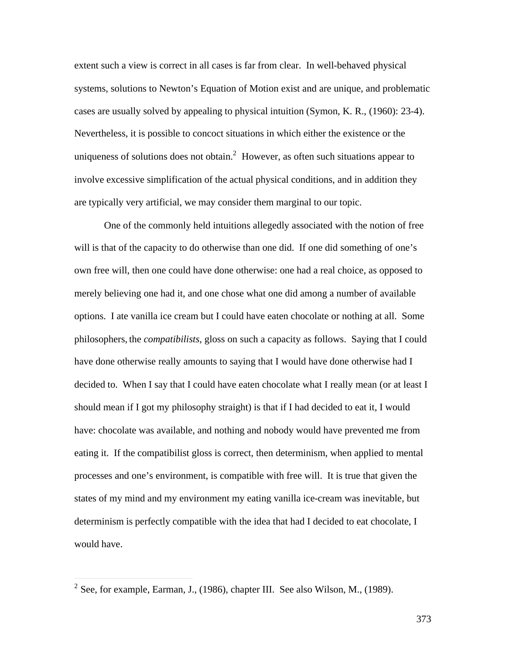extent such a view is correct in all cases is far from clear. In well-behaved physical systems, solutions to Newton's Equation of Motion exist and are unique, and problematic cases are usually solved by appealing to physical intuition (Symon, K. R., (1960): 23-4). Nevertheless, it is possible to concoct situations in which either the existence or the uniqueness of solutions does not obtain.<sup>2</sup> However, as often such situations appear to involve excessive simplification of the actual physical conditions, and in addition they are typically very artificial, we may consider them marginal to our topic.

One of the commonly held intuitions allegedly associated with the notion of free will is that of the capacity to do otherwise than one did. If one did something of one's own free will, then one could have done otherwise: one had a real choice, as opposed to merely believing one had it, and one chose what one did among a number of available options. I ate vanilla ice cream but I could have eaten chocolate or nothing at all. Some philosophers, the *compatibilists*, gloss on such a capacity as follows. Saying that I could have done otherwise really amounts to saying that I would have done otherwise had I decided to. When I say that I could have eaten chocolate what I really mean (or at least I should mean if I got my philosophy straight) is that if I had decided to eat it, I would have: chocolate was available, and nothing and nobody would have prevented me from eating it. If the compatibilist gloss is correct, then determinism, when applied to mental processes and one's environment, is compatible with free will. It is true that given the states of my mind and my environment my eating vanilla ice-cream was inevitable, but determinism is perfectly compatible with the idea that had I decided to eat chocolate, I would have.

<sup>&</sup>lt;sup>2</sup> See, for example, Earman, J., (1986), chapter III. See also Wilson, M., (1989).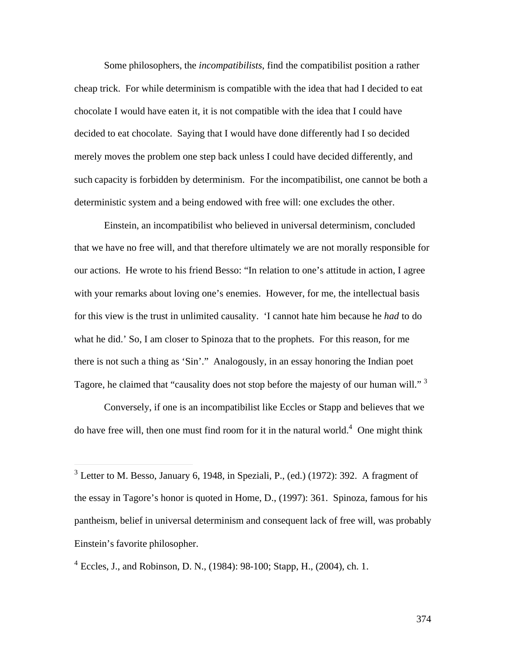Some philosophers, the *incompatibilists*, find the compatibilist position a rather cheap trick. For while determinism is compatible with the idea that had I decided to eat chocolate I would have eaten it, it is not compatible with the idea that I could have decided to eat chocolate. Saying that I would have done differently had I so decided merely moves the problem one step back unless I could have decided differently, and such capacity is forbidden by determinism. For the incompatibilist, one cannot be both a deterministic system and a being endowed with free will: one excludes the other.

Einstein, an incompatibilist who believed in universal determinism, concluded that we have no free will, and that therefore ultimately we are not morally responsible for our actions. He wrote to his friend Besso: "In relation to one's attitude in action, I agree with your remarks about loving one's enemies. However, for me, the intellectual basis for this view is the trust in unlimited causality. 'I cannot hate him because he *had* to do what he did.' So, I am closer to Spinoza that to the prophets. For this reason, for me there is not such a thing as 'Sin'." Analogously, in an essay honoring the Indian poet Tagore, he claimed that "causality does not stop before the majesty of our human will."<sup>3</sup>

Conversely, if one is an incompatibilist like Eccles or Stapp and believes that we do have free will, then one must find room for it in the natural world.<sup>4</sup> One might think

 $3$  Letter to M. Besso, January 6, 1948, in Speziali, P., (ed.) (1972): 392. A fragment of the essay in Tagore's honor is quoted in Home, D., (1997): 361. Spinoza, famous for his pantheism, belief in universal determinism and consequent lack of free will, was probably Einstein's favorite philosopher.

<sup>&</sup>lt;sup>4</sup> Eccles, J., and Robinson, D. N., (1984): 98-100; Stapp, H., (2004), ch. 1.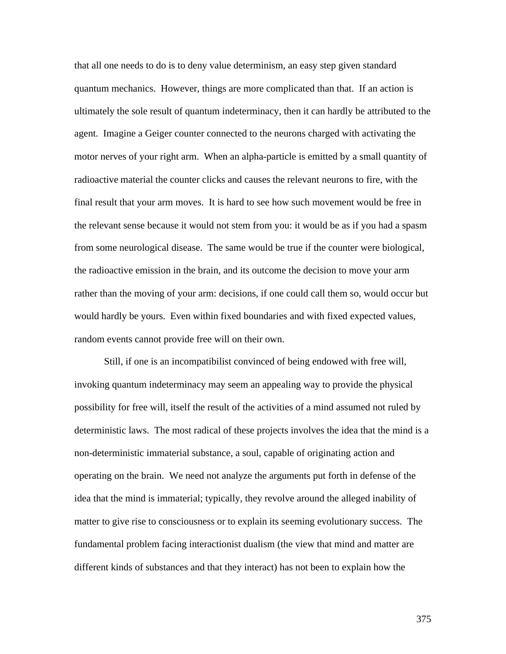that all one needs to do is to deny value determinism, an easy step given standard quantum mechanics. However, things are more complicated than that. If an action is ultimately the sole result of quantum indeterminacy, then it can hardly be attributed to the agent. Imagine a Geiger counter connected to the neurons charged with activating the motor nerves of your right arm. When an alpha-particle is emitted by a small quantity of radioactive material the counter clicks and causes the relevant neurons to fire, with the final result that your arm moves. It is hard to see how such movement would be free in the relevant sense because it would not stem from you: it would be as if you had a spasm from some neurological disease. The same would be true if the counter were biological, the radioactive emission in the brain, and its outcome the decision to move your arm rather than the moving of your arm: decisions, if one could call them so, would occur but would hardly be yours. Even within fixed boundaries and with fixed expected values, random events cannot provide free will on their own.

Still, if one is an incompatibilist convinced of being endowed with free will, invoking quantum indeterminacy may seem an appealing way to provide the physical possibility for free will, itself the result of the activities of a mind assumed not ruled by deterministic laws. The most radical of these projects involves the idea that the mind is a non-deterministic immaterial substance, a soul, capable of originating action and operating on the brain. We need not analyze the arguments put forth in defense of the idea that the mind is immaterial; typically, they revolve around the alleged inability of matter to give rise to consciousness or to explain its seeming evolutionary success. The fundamental problem facing interactionist dualism (the view that mind and matter are different kinds of substances and that they interact) has not been to explain how the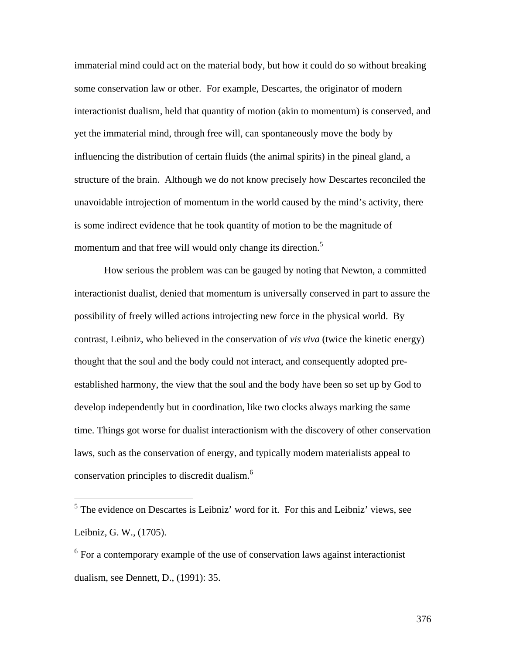immaterial mind could act on the material body, but how it could do so without breaking some conservation law or other. For example, Descartes, the originator of modern interactionist dualism, held that quantity of motion (akin to momentum) is conserved, and yet the immaterial mind, through free will, can spontaneously move the body by influencing the distribution of certain fluids (the animal spirits) in the pineal gland, a structure of the brain. Although we do not know precisely how Descartes reconciled the unavoidable introjection of momentum in the world caused by the mind's activity, there is some indirect evidence that he took quantity of motion to be the magnitude of momentum and that free will would only change its direction.<sup>5</sup>

How serious the problem was can be gauged by noting that Newton, a committed interactionist dualist, denied that momentum is universally conserved in part to assure the possibility of freely willed actions introjecting new force in the physical world. By contrast, Leibniz, who believed in the conservation of *vis viva* (twice the kinetic energy) thought that the soul and the body could not interact, and consequently adopted preestablished harmony, the view that the soul and the body have been so set up by God to develop independently but in coordination, like two clocks always marking the same time. Things got worse for dualist interactionism with the discovery of other conservation laws, such as the conservation of energy, and typically modern materialists appeal to conservation principles to discredit dualism.<sup>6</sup>

 $\overline{a}$ 

<sup>&</sup>lt;sup>5</sup> The evidence on Descartes is Leibniz' word for it. For this and Leibniz' views, see Leibniz, G. W., (1705).

<sup>&</sup>lt;sup>6</sup> For a contemporary example of the use of conservation laws against interactionist dualism, see Dennett, D., (1991): 35.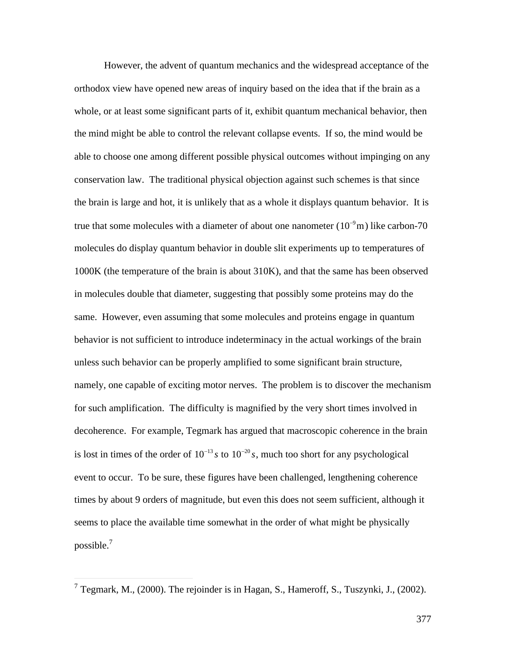However, the advent of quantum mechanics and the widespread acceptance of the orthodox view have opened new areas of inquiry based on the idea that if the brain as a whole, or at least some significant parts of it, exhibit quantum mechanical behavior, then the mind might be able to control the relevant collapse events. If so, the mind would be able to choose one among different possible physical outcomes without impinging on any conservation law. The traditional physical objection against such schemes is that since the brain is large and hot, it is unlikely that as a whole it displays quantum behavior. It is true that some molecules with a diameter of about one nanometer  $(10^{-9}m)$  like carbon-70 1000K (the temperature of the brain is about 310K), and that the same has been observed molecules do display quantum behavior in double slit experiments up to temperatures of in molecules double that diameter, suggesting that possibly some proteins may do the same. However, even assuming that some molecules and proteins engage in quantum behavior is not sufficient to introduce indeterminacy in the actual workings of the brain unless such behavior can be properly amplified to some significant brain structure, namely, one capable of exciting motor nerves. The problem is to discover the mechanism for such amplification. The difficulty is magnified by the very short times involved in decoherence. For example, Tegmark has argued that macroscopic coherence in the brain is lost in times of the order of  $10^{-13} s$  to  $10^{-20} s$ , much too short for any psychological times by about 9 orders of magnitude, but even this does not seem sufficient, although it event to occur. To be sure, these figures have been challenged, lengthening coherence seems to place the available time somewhat in the order of what might be physically possible. $^7$ 

<sup>&</sup>lt;sup>7</sup> Tegmark, M., (2000). The rejoinder is in Hagan, S., Hameroff, S., Tuszynki, J., (2002).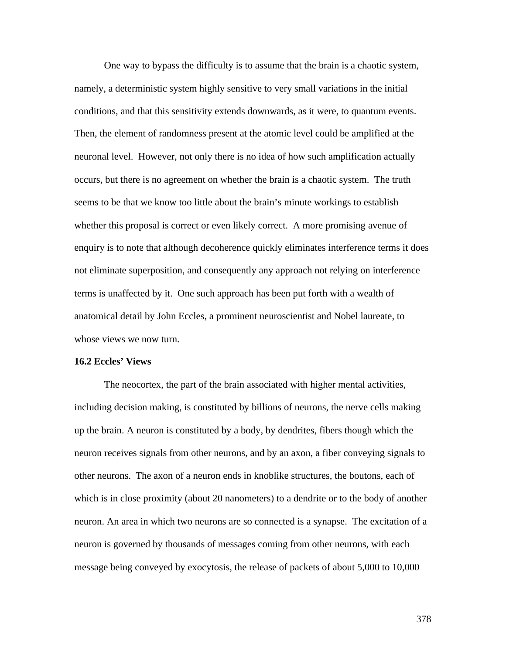One way to bypass the difficulty is to assume that the brain is a chaotic system, namely, a deterministic system highly sensitive to very small variations in the initial conditions, and that this sensitivity extends downwards, as it were, to quantum events. Then, the element of randomness present at the atomic level could be amplified at the neuronal level. However, not only there is no idea of how such amplification actually occurs, but there is no agreement on whether the brain is a chaotic system. The truth seems to be that we know too little about the brain's minute workings to establish whether this proposal is correct or even likely correct. A more promising avenue of enquiry is to note that although decoherence quickly eliminates interference terms it does not eliminate superposition, and consequently any approach not relying on interference terms is unaffected by it. One such approach has been put forth with a wealth of anatomical detail by John Eccles, a prominent neuroscientist and Nobel laureate, to whose views we now turn.

#### **16.2 Eccles' Views**

The neocortex, the part of the brain associated with higher mental activities, including decision making, is constituted by billions of neurons, the nerve cells making up the brain. A neuron is constituted by a body, by dendrites, fibers though which the neuron receives signals from other neurons, and by an axon, a fiber conveying signals to other neurons. The axon of a neuron ends in knoblike structures, the boutons, each of which is in close proximity (about 20 nanometers) to a dendrite or to the body of another neuron. An area in which two neurons are so connected is a synapse. The excitation of a neuron is governed by thousands of messages coming from other neurons, with each message being conveyed by exocytosis, the release of packets of about 5,000 to 10,000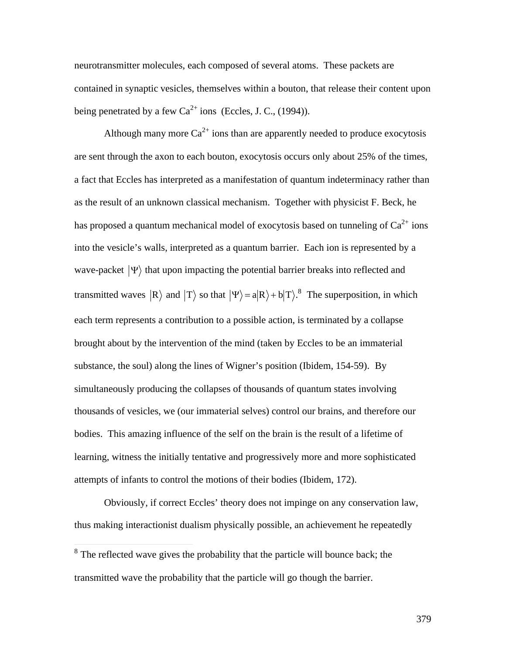neurotransmitter molecules, each composed of several atoms. These packets are contained in synaptic vesicles, themselves within a bouton, that release their content upon being penetrated by a few  $Ca^{2+}$  ions (Eccles, J. C., (1994)).

Although many more  $Ca^{2+}$  ions than are apparently needed to produce exocytosis are sent through the axon to each bouton, exocytosis occurs only about 25% of the times, a fact that Eccles has interpreted as a manifestation of quantum indeterminacy rather than as the result of an unknown classical mechanism. Together with physicist F. Beck, he has proposed a quantum mechanical model of exocytosis based on tunneling of  $Ca^{2+}$  ions into the vesicle's walls, interpreted as a quantum barrier. Each ion is represented by a wave-packet  $|\Psi\rangle$  that upon impacting the potential barrier breaks into reflected and † transmitted waves  $|R\rangle$  and  $|T\rangle$  so that  $|\Psi\rangle = a|R\rangle + b|T\rangle$ .<sup>8</sup> The superposition, in which brought about by the intervention of the mind (taken by Eccles to be an immaterial each term represents a contribution to a possible action, is terminated by a collapse substance, the soul) along the lines of Wigner's position (Ibidem, 154-59). By simultaneously producing the collapses of thousands of quantum states involving thousands of vesicles, we (our immaterial selves) control our brains, and therefore our bodies. This amazing influence of the self on the brain is the result of a lifetime of learning, witness the initially tentative and progressively more and more sophisticated attempts of infants to control the motions of their bodies (Ibidem, 172).

Obviously, if correct Eccles' theory does not impinge on any conservation law, thus making interactionist dualism physically possible, an achievement he repeatedly

<sup>&</sup>lt;sup>8</sup> The reflected wave gives the probability that the particle will bounce back; the transmitted wave the probability that the particle will go though the barrier.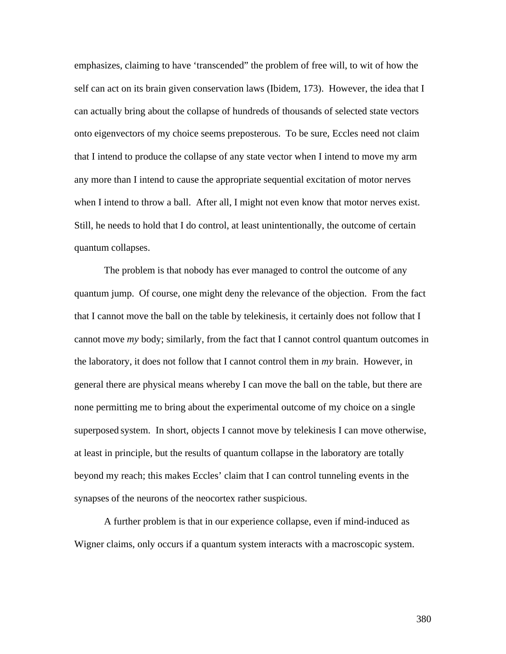emphasizes, claiming to have 'transcended" the problem of free will, to wit of how the self can act on its brain given conservation laws (Ibidem, 173). However, the idea that I can actually bring about the collapse of hundreds of thousands of selected state vectors onto eigenvectors of my choice seems preposterous. To be sure, Eccles need not claim that I intend to produce the collapse of any state vector when I intend to move my arm any more than I intend to cause the appropriate sequential excitation of motor nerves when I intend to throw a ball. After all, I might not even know that motor nerves exist. Still, he needs to hold that I do control, at least unintentionally, the outcome of certain quantum collapses.

The problem is that nobody has ever managed to control the outcome of any quantum jump. Of course, one might deny the relevance of the objection. From the fact that I cannot move the ball on the table by telekinesis, it certainly does not follow that I cannot move *my* body; similarly, from the fact that I cannot control quantum outcomes in the laboratory, it does not follow that I cannot control them in *my* brain. However, in general there are physical means whereby I can move the ball on the table, but there are none permitting me to bring about the experimental outcome of my choice on a single superposed system. In short, objects I cannot move by telekinesis I can move otherwise, at least in principle, but the results of quantum collapse in the laboratory are totally beyond my reach; this makes Eccles' claim that I can control tunneling events in the synapses of the neurons of the neocortex rather suspicious.

A further problem is that in our experience collapse, even if mind-induced as Wigner claims, only occurs if a quantum system interacts with a macroscopic system.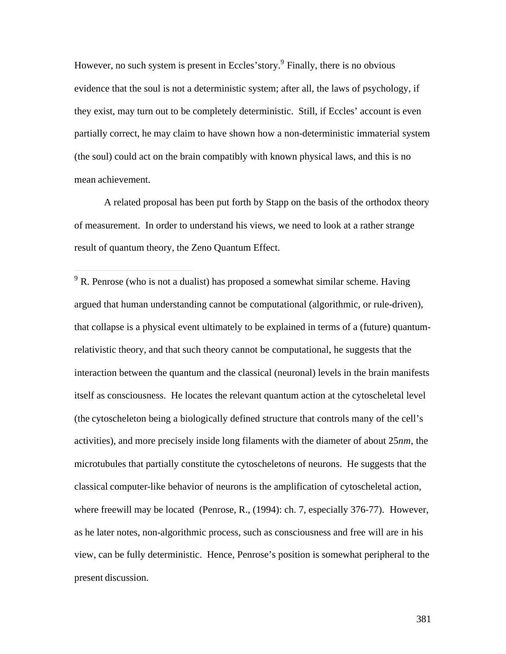However, no such system is present in Eccles' story.<sup>9</sup> Finally, there is no obvious evidence that the soul is not a deterministic system; after all, the laws of psychology, if they exist, may turn out to be completely deterministic. Still, if Eccles' account is even partially correct, he may claim to have shown how a non-deterministic immaterial system (the soul) could act on the brain compatibly with known physical laws, and this is no mean achievement.

A related proposal has been put forth by Stapp on the basis of the orthodox theory of measurement. In order to understand his views, we need to look at a rather strange result of quantum theory, the Zeno Quantum Effect.

 $9<sup>9</sup>$  R. Penrose (who is not a dualist) has proposed a somewhat similar scheme. Having argued that human understanding cannot be computational (algorithmic, or rule-driven), that collapse is a physical event ultimately to be explained in terms of a (future) quantumrelativistic theory, and that such theory cannot be computational, he suggests that the interaction between the quantum and the classical (neuronal) levels in the brain manifests itself as consciousness. He locates the relevant quantum action at the cytoscheletal level (the cytoscheleton being a biologically defined structure that controls many of the cell's activities), and more precisely inside long filaments with the diameter of about 25*nm*, the microtubules that partially constitute the cytoscheletons of neurons. He suggests that the classical computer-like behavior of neurons is the amplification of cytoscheletal action, where freewill may be located (Penrose, R., (1994): ch. 7, especially 376-77). However, as he later notes, non-algorithmic process, such as consciousness and free will are in his view, can be fully deterministic. Hence, Penrose's position is somewhat peripheral to the present discussion.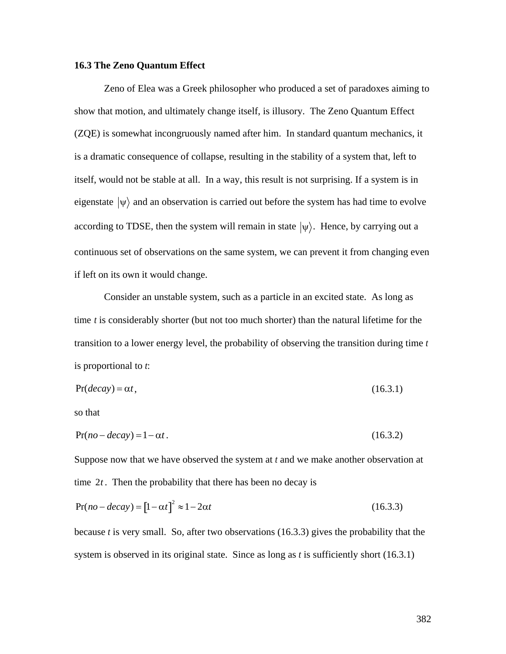# **16.3 The Zeno Quantum Effect**

Zeno of Elea was a Greek philosopher who produced a set of paradoxes aiming to show that motion, and ultimately change itself, is illusory. The Zeno Quantum Effect (ZQE) is somewhat incongruously named after him. In standard quantum mechanics, it is a dramatic consequence of collapse, resulting in the stability of a system that, left to itself, would not be stable at all. In a way, this result is not surprising. If a system is in eigenstate  $|\psi\rangle$  and an observation is carried out before the system has had time to evolve  $\mathcal{L}^{\text{th}}$ according to TDSE, then the system will remain in state  $|\psi\rangle$ . Hence, by carrying out a continuous set of observations on the same system, we can prevent it from changing even if left on its own it would change.

Consider an unstable system, such as a particle in an excited state. As long as time *t* is considerably shorter (but not too much shorter) than the natural lifetime for the transition to a lower energy level, the probability of observing the transition during time *t* is proportional to *t*:

$$
Pr(decay) = \alpha t, \tag{16.3.1}
$$

so that

$$
Pr(no-decay) = 1 - \alpha t. \tag{16.3.2}
$$

Suppose now that we have observed the system at *t* and we make another observation at time 2*t* . Then the probability that there has been no decay is

$$
Pr(no-decay) = [1 - \alpha t]^2 \approx 1 - 2\alpha t \tag{16.3.3}
$$

because *t* is very small. So, after two observations (16.3.3) gives the probability that the system is observed in its original state. Since as long as *t* is sufficiently short (16.3.1)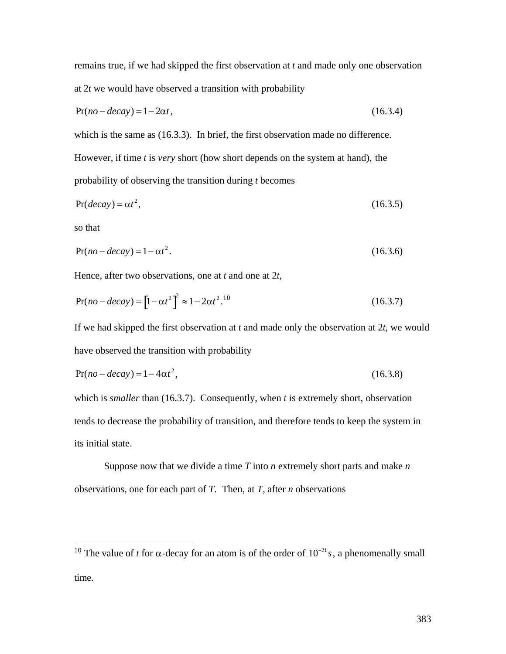remains true, if we had skipped the first observation at *t* and made only one observation at 2*t* we would have observed a transition with probability

$$
Pr(no-decay) = 1 - 2\alpha t, \qquad (16.3.4)
$$

which is the same as  $(16.3.3)$ . In brief, the first observation made no difference.

However, if time *t* is *very* short (how short depends on the system at hand), the probability of observing the transition during *t* becomes

$$
Pr(decay) = \alpha t^2, \tag{16.3.5}
$$

so that

 $\overline{a}$ 

$$
Pr(no-decay) = 1 - \alpha t^2. \tag{16.3.6}
$$

Hence, after two observations, one at *t* and one at 2*t*,

$$
Pr(no-decay) = [1 - \alpha t^2]^2 \approx 1 - 2\alpha t^2.^{10}
$$
 (16.3.7)

If we had skipped the first observation at *t* and made only the observation at 2*t*, we would have observed the transition with probability

$$
Pr(no-decay) = 1 - 4\alpha t^2,
$$
\n(16.3.8)

which is *smaller* than (16.3.7). Consequently, when *t* is extremely short, observation tends to decrease the probability of transition, and therefore tends to keep the system in its initial state.

Suppose now that we divide a time *T* into *n* extremely short parts and make *n* observations, one for each part of *T*. Then, at *T*, after *n* observations

<sup>&</sup>lt;sup>10</sup> The value of *t* for  $\alpha$ -decay for an atom is of the order of  $10^{-21} s$ , a phenomenally small time.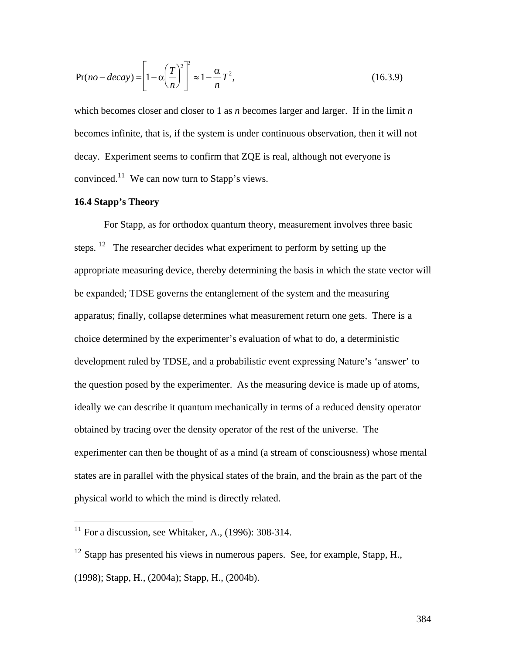$$
Pr(no-decay) = \left[1 - \alpha \left(\frac{T}{n}\right)^2\right]^2 \approx 1 - \frac{\alpha}{n}T^2,
$$
\n(16.3.9)

which becomes closer and closer to 1 as *n* becomes larger and larger. If in the limit *n* becomes infinite, that is, if the system is under continuous observation, then it will not decay. Experiment seems to confirm that ZQE is real, although not everyone is convinced.<sup>11</sup> We can now turn to Stapp's views.

# **16.4 Stapp's Theory**

 $\overline{a}$ 

For Stapp, as for orthodox quantum theory, measurement involves three basic steps.  $12$  The researcher decides what experiment to perform by setting up the appropriate measuring device, thereby determining the basis in which the state vector will be expanded; TDSE governs the entanglement of the system and the measuring apparatus; finally, collapse determines what measurement return one gets. There is a choice determined by the experimenter's evaluation of what to do, a deterministic development ruled by TDSE, and a probabilisti*c* event expressing Nature's 'answer' to the question posed by the experimenter. As the measuring device is made up of atoms, ideally we can describe it quantum mechanically in terms of a reduced density operator obtained by tracing over the density operator of the rest of the universe. The experimenter can then be thought of as a mind (a stream of consciousness) whose mental states are in parallel with the physical states of the brain, and the brain as the part of the physical world to which the mind is directly related.

 $11$  For a discussion, see Whitaker, A., (1996): 308-314.

 $12$  Stapp has presented his views in numerous papers. See, for example, Stapp, H., (1998); Stapp, H., (2004a); Stapp, H., (2004b).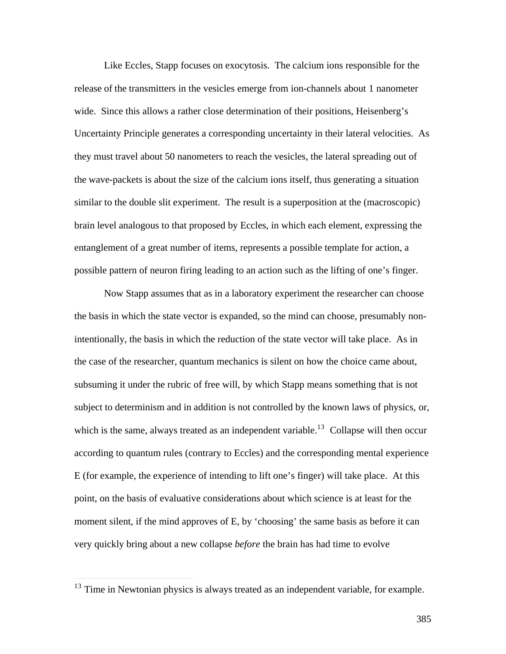Like Eccles, Stapp focuses on exocytosis. The calcium ions responsible for the release of the transmitters in the vesicles emerge from ion-channels about 1 nanometer wide. Since this allows a rather close determination of their positions, Heisenberg's Uncertainty Principle generates a corresponding uncertainty in their lateral velocities. As they must travel about 50 nanometers to reach the vesicles, the lateral spreading out of the wave-packets is about the size of the calcium ions itself, thus generating a situation similar to the double slit experiment. The result is a superposition at the (macroscopic) brain level analogous to that proposed by Eccles, in which each element, expressing the entanglement of a great number of items, represents a possible template for action, a possible pattern of neuron firing leading to an action such as the lifting of one's finger.

Now Stapp assumes that as in a laboratory experiment the researcher can choose the basis in which the state vector is expanded, so the mind can choose, presumably nonintentionally, the basis in which the reduction of the state vector will take place. As in the case of the researcher, quantum mechanics is silent on how the choice came about, subsuming it under the rubric of free will, by which Stapp means something that is not subject to determinism and in addition is not controlled by the known laws of physics, or, which is the same, always treated as an independent variable.<sup>13</sup> Collapse will then occur according to quantum rules (contrary to Eccles) and the corresponding mental experience E (for example, the experience of intending to lift one's finger) will take place. At this point, on the basis of evaluative considerations about which science is at least for the moment silent, if the mind approves of E, by 'choosing' the same basis as before it can very quickly bring about a new collapse *before* the brain has had time to evolve

 $13$  Time in Newtonian physics is always treated as an independent variable, for example.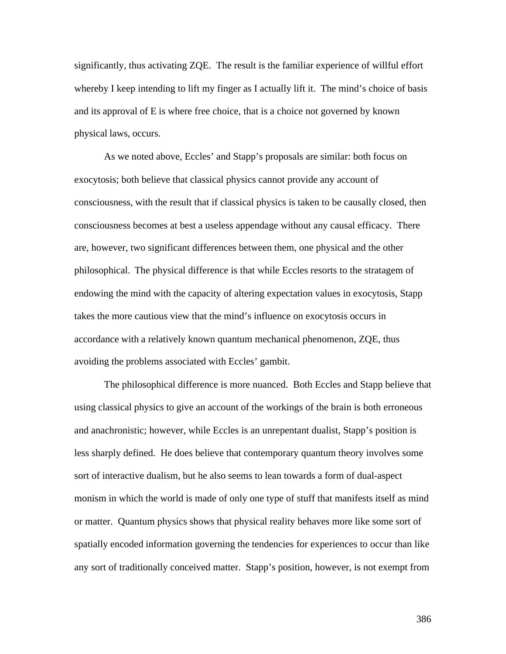significantly, thus activating ZQE. The result is the familiar experience of willful effort whereby I keep intending to lift my finger as I actually lift it. The mind's choice of basis and its approval of E is where free choice, that is a choice not governed by known physical laws, occurs.

As we noted above, Eccles' and Stapp's proposals are similar: both focus on exocytosis; both believe that classical physics cannot provide any account of consciousness, with the result that if classical physics is taken to be causally closed, then consciousness becomes at best a useless appendage without any causal efficacy. There are, however, two significant differences between them, one physical and the other philosophical. The physical difference is that while Eccles resorts to the stratagem of endowing the mind with the capacity of altering expectation values in exocytosis, Stapp takes the more cautious view that the mind's influence on exocytosis occurs in accordance with a relatively known quantum mechanical phenomenon, ZQE, thus avoiding the problems associated with Eccles' gambit.

The philosophical difference is more nuanced. Both Eccles and Stapp believe that using classical physics to give an account of the workings of the brain is both erroneous and anachronistic; however, while Eccles is an unrepentant dualist, Stapp's position is less sharply defined. He does believe that contemporary quantum theory involves some sort of interactive dualism, but he also seems to lean towards a form of dual-aspect monism in which the world is made of only one type of stuff that manifests itself as mind or matter. Quantum physics shows that physical reality behaves more like some sort of spatially encoded information governing the tendencies for experiences to occur than like any sort of traditionally conceived matter. Stapp's position, however, is not exempt from